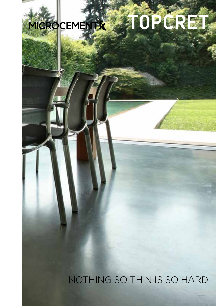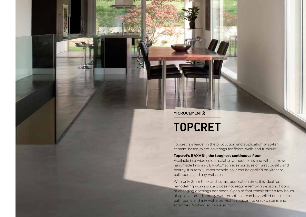**MICROCEMENT友** 

# **TOPCRET**

Topcret is a leader in the production and application of stylish cement-based micro-coverings for floors, walls and furniture.

# **Topcret's BAXAB**® **, the toughest continuous floor**

Available in a wide colour palatte, without joints and with its trowel handmade finishing, BAXAB® achieves surfaces of great quality and beauty. It is totally impermeable, so it can be applied on kitchens, bathrooms and any wet areas.

With only 3mm thick and its fast application time, it is ideal for remodelling works since it does not require removing existing floors or changing openings nor bases. Open to foot transit after a few hours of application. It is totally waterproof, so it can be applied on kitchens, bathrooms and any wet area. Highly resistant to cracks, stains and scratches. Nothing so thin is so hard.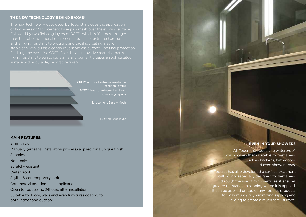### **THE NEW TECHNOLOGY BEHIND BAXAB**®

The new technology developed by Topcret includes the application of two layers of Microcement base plus mesh over the existing surface. Followed by two finishing layers of BCED, which is 10 times stronger than that of conventional micro-cements. It is of extreme hardness and is highly resistant to pressure and breaks, creating a solid, stable and very durable continuous seamless surface. The final protection finishing, the exclusive CRED Shield is an innovative material that is highly resistant to scratches, stains and burns. It creates a sophisticated surface with a durable, decorative finish.



(Protection layers) BCED® layer of extreme hardness (Finishing layers)

Microcement Base + Mesh

Existing Base layer

#### **Main Features:**

3mm thick Manually (artisanal installation process) applied for a unique finish Seamless Non toxic Scratch-resistant Waterproof Stylish & contemporary look Commercial and domestic applications Open to foot traffic 24hours after installation Suitable for Floor, walls and even furnitures coating for both indoor and outdoor

## **EVEN IN YOUR SHOWERS**

All Topcret products are waterproof, which makes them suitable for wet areas, such as kitchens, bathrooms, and even shower areas.

Topcret has also developed a surface treatment call T/Grip, especially designed for wet areas; through the use of micro–articles, it ensures greater resistance to slipping where it is applied. It can be applied on top of any Topcret products for maximum grip, minimizing slipping and sliding to create a much safer surface.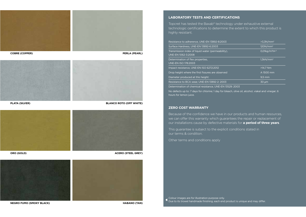





**Acero (Steel Grey)**



**NEGRO FUMO (SMOKY BLACK) Habano (Tan)**

#### **LABORATORY TESTS AND CERTIFICATIONS**

Topcret has tested the Baxab® technology under exhaustive external technologic certifications to determine the extent to which this product is highly resistant.

| Resistance to adherence, UNE-EN 13892-8:2003                             | >3.3N/mm <sup>2</sup>      |
|--------------------------------------------------------------------------|----------------------------|
| Surface Hardness, UNE-EN 13892-6:2003                                    | 120N/mm <sup>2</sup>       |
| Transmission index of liquid water (permeability).<br>UNE-EN 1062-3:2008 | 0,01kg/m <sup>2</sup> ho.5 |
| Determination of flex properties.<br><b>UNE-EN ISO 178:2003</b>          | 1,3kN/mm <sup>2</sup>      |
| Impact resistance, UNE-EN ISO 6272:2012                                  | $>14.7$ Nm                 |
| Drop height where the first fissures are observed                        | A 1500 mm                  |
| Diameter produced at this height:                                        | $9.5 \overline{mm}$        |
| Resistance to BCA wear, UNE-EN 13892-2: 2003                             | $30 \mu m$                 |

Determination of chemical resistance, UNE-EN 13529: 2003

No defects up to: 7 days for chlorine; 1 day for bleach, olive oil, alcohol, viakal and vinegar; 6 hours for lemon juice.

#### **ZERO COST WARRANTY**

Because of the confidence we have in our products and human resources, we can offer this warranty which guarantees the repair or replacement of our installations cause by defective materials for **a period of three years**.

This guarantee is subject to the explicit conditions stated in our terms & condition.

Other terms and conditions apply

Colour images are for illustration purpose only. Due to its trowel handmade finishing, each end product is unique and may differ.